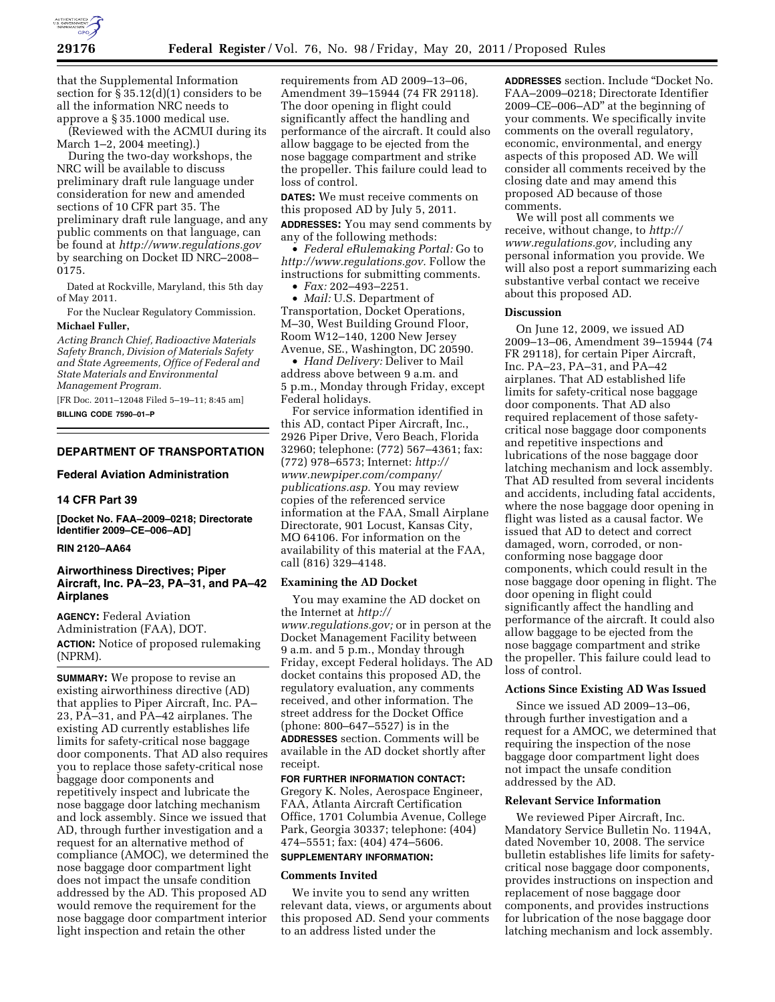

that the Supplemental Information section for § 35.12(d)(1) considers to be all the information NRC needs to approve a § 35.1000 medical use.

(Reviewed with the ACMUI during its March 1–2, 2004 meeting).)

During the two-day workshops, the NRC will be available to discuss preliminary draft rule language under consideration for new and amended sections of 10 CFR part 35. The preliminary draft rule language, and any public comments on that language, can be found at *<http://www.regulations.gov>*  by searching on Docket ID NRC–2008– 0175.

Dated at Rockville, Maryland, this 5th day of May 2011.

For the Nuclear Regulatory Commission. **Michael Fuller,** 

*Acting Branch Chief, Radioactive Materials Safety Branch, Division of Materials Safety and State Agreements, Office of Federal and State Materials and Environmental Management Program.* 

[FR Doc. 2011–12048 Filed 5–19–11; 8:45 am] **BILLING CODE 7590–01–P** 

# **DEPARTMENT OF TRANSPORTATION**

## **Federal Aviation Administration**

#### **14 CFR Part 39**

**[Docket No. FAA–2009–0218; Directorate Identifier 2009–CE–006–AD]** 

# **RIN 2120–AA64**

# **Airworthiness Directives; Piper Aircraft, Inc. PA–23, PA–31, and PA–42 Airplanes**

**AGENCY:** Federal Aviation Administration (FAA), DOT.

**ACTION:** Notice of proposed rulemaking (NPRM).

**SUMMARY:** We propose to revise an existing airworthiness directive (AD) that applies to Piper Aircraft, Inc. PA– 23, PA–31, and PA–42 airplanes. The existing AD currently establishes life limits for safety-critical nose baggage door components. That AD also requires you to replace those safety-critical nose baggage door components and repetitively inspect and lubricate the nose baggage door latching mechanism and lock assembly. Since we issued that AD, through further investigation and a request for an alternative method of compliance (AMOC), we determined the nose baggage door compartment light does not impact the unsafe condition addressed by the AD. This proposed AD would remove the requirement for the nose baggage door compartment interior light inspection and retain the other

requirements from AD 2009–13–06, Amendment 39–15944 (74 FR 29118). The door opening in flight could significantly affect the handling and performance of the aircraft. It could also allow baggage to be ejected from the nose baggage compartment and strike the propeller. This failure could lead to loss of control.

**DATES:** We must receive comments on this proposed AD by July 5, 2011.

**ADDRESSES:** You may send comments by any of the following methods:

• *Federal eRulemaking Portal:* Go to *[http://www.regulations.gov.](http://www.regulations.gov)* Follow the instructions for submitting comments.

• *Fax:* 202–493–2251.

• *Mail:* U.S. Department of Transportation, Docket Operations, M–30, West Building Ground Floor, Room W12–140, 1200 New Jersey Avenue, SE., Washington, DC 20590.

• *Hand Delivery:* Deliver to Mail address above between 9 a.m. and 5 p.m., Monday through Friday, except Federal holidays.

For service information identified in this AD, contact Piper Aircraft, Inc., 2926 Piper Drive, Vero Beach, Florida 32960; telephone: (772) 567–4361; fax: (772) 978–6573; Internet: *[http://](http://www.newpiper.com/company/publications.asp) [www.newpiper.com/company/](http://www.newpiper.com/company/publications.asp)  [publications.asp.](http://www.newpiper.com/company/publications.asp)* You may review copies of the referenced service information at the FAA, Small Airplane Directorate, 901 Locust, Kansas City, MO 64106. For information on the availability of this material at the FAA, call (816) 329–4148.

## **Examining the AD Docket**

You may examine the AD docket on the Internet at *[http://](http://www.regulations.gov)  [www.regulations.gov;](http://www.regulations.gov)* or in person at the Docket Management Facility between 9 a.m. and 5 p.m., Monday through Friday, except Federal holidays. The AD docket contains this proposed AD, the regulatory evaluation, any comments received, and other information. The street address for the Docket Office (phone: 800–647–5527) is in the **ADDRESSES** section. Comments will be available in the AD docket shortly after receipt.

#### **FOR FURTHER INFORMATION CONTACT:**

Gregory K. Noles, Aerospace Engineer, FAA, Atlanta Aircraft Certification Office, 1701 Columbia Avenue, College Park, Georgia 30337; telephone: (404) 474–5551; fax: (404) 474–5606.

# **SUPPLEMENTARY INFORMATION:**

#### **Comments Invited**

We invite you to send any written relevant data, views, or arguments about this proposed AD. Send your comments to an address listed under the

**ADDRESSES** section. Include ''Docket No. FAA–2009–0218; Directorate Identifier 2009–CE–006–AD'' at the beginning of your comments. We specifically invite comments on the overall regulatory, economic, environmental, and energy aspects of this proposed AD. We will consider all comments received by the closing date and may amend this proposed AD because of those comments.

We will post all comments we receive, without change, to *[http://](http://www.regulations.gov) [www.regulations.gov,](http://www.regulations.gov)* including any personal information you provide. We will also post a report summarizing each substantive verbal contact we receive about this proposed AD.

# **Discussion**

On June 12, 2009, we issued AD 2009–13–06, Amendment 39–15944 (74 FR 29118), for certain Piper Aircraft, Inc. PA–23, PA–31, and PA–42 airplanes. That AD established life limits for safety-critical nose baggage door components. That AD also required replacement of those safetycritical nose baggage door components and repetitive inspections and lubrications of the nose baggage door latching mechanism and lock assembly. That AD resulted from several incidents and accidents, including fatal accidents, where the nose baggage door opening in flight was listed as a causal factor. We issued that AD to detect and correct damaged, worn, corroded, or nonconforming nose baggage door components, which could result in the nose baggage door opening in flight. The door opening in flight could significantly affect the handling and performance of the aircraft. It could also allow baggage to be ejected from the nose baggage compartment and strike the propeller. This failure could lead to loss of control.

## **Actions Since Existing AD Was Issued**

Since we issued AD 2009–13–06, through further investigation and a request for a AMOC, we determined that requiring the inspection of the nose baggage door compartment light does not impact the unsafe condition addressed by the AD.

## **Relevant Service Information**

We reviewed Piper Aircraft, Inc. Mandatory Service Bulletin No. 1194A, dated November 10, 2008. The service bulletin establishes life limits for safetycritical nose baggage door components, provides instructions on inspection and replacement of nose baggage door components, and provides instructions for lubrication of the nose baggage door latching mechanism and lock assembly.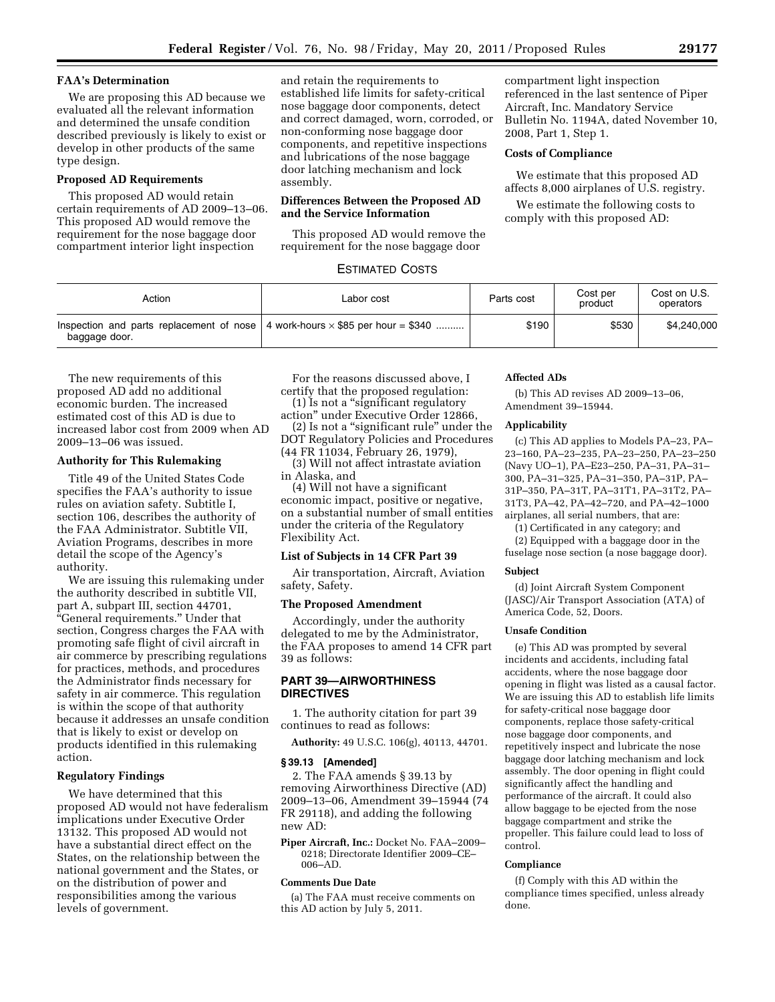# **FAA's Determination**

We are proposing this AD because we evaluated all the relevant information and determined the unsafe condition described previously is likely to exist or develop in other products of the same type design.

# **Proposed AD Requirements**

This proposed AD would retain certain requirements of AD 2009–13–06. This proposed AD would remove the requirement for the nose baggage door compartment interior light inspection

and retain the requirements to established life limits for safety-critical nose baggage door components, detect and correct damaged, worn, corroded, or non-conforming nose baggage door components, and repetitive inspections and lubrications of the nose baggage door latching mechanism and lock assembly.

# **Differences Between the Proposed AD and the Service Information**

This proposed AD would remove the requirement for the nose baggage door

# ESTIMATED COSTS

compartment light inspection referenced in the last sentence of Piper Aircraft, Inc. Mandatory Service Bulletin No. 1194A, dated November 10, 2008, Part 1, Step 1.

# **Costs of Compliance**

We estimate that this proposed AD affects 8,000 airplanes of U.S. registry.

We estimate the following costs to comply with this proposed AD:

| Action        | Labor cost                                                                                   | Parts cost | Cost per<br>product | Cost on U.S.<br>operators |
|---------------|----------------------------------------------------------------------------------------------|------------|---------------------|---------------------------|
| baggage door. | Inspection and parts replacement of nose $\vert$ 4 work-hours $\times$ \$85 per hour = \$340 | \$190      | \$530               | \$4,240,000               |

The new requirements of this proposed AD add no additional economic burden. The increased estimated cost of this AD is due to increased labor cost from 2009 when AD 2009–13–06 was issued.

# **Authority for This Rulemaking**

Title 49 of the United States Code specifies the FAA's authority to issue rules on aviation safety. Subtitle I, section 106, describes the authority of the FAA Administrator. Subtitle VII, Aviation Programs, describes in more detail the scope of the Agency's authority.

We are issuing this rulemaking under the authority described in subtitle VII, part A, subpart III, section 44701, ''General requirements.'' Under that section, Congress charges the FAA with promoting safe flight of civil aircraft in air commerce by prescribing regulations for practices, methods, and procedures the Administrator finds necessary for safety in air commerce. This regulation is within the scope of that authority because it addresses an unsafe condition that is likely to exist or develop on products identified in this rulemaking action.

#### **Regulatory Findings**

We have determined that this proposed AD would not have federalism implications under Executive Order 13132. This proposed AD would not have a substantial direct effect on the States, on the relationship between the national government and the States, or on the distribution of power and responsibilities among the various levels of government.

For the reasons discussed above, I certify that the proposed regulation: (1) Is not a ''significant regulatory

action'' under Executive Order 12866, (2) Is not a ''significant rule'' under the

DOT Regulatory Policies and Procedures (44 FR 11034, February 26, 1979),

(3) Will not affect intrastate aviation in Alaska, and

(4) Will not have a significant economic impact, positive or negative, on a substantial number of small entities under the criteria of the Regulatory Flexibility Act.

## **List of Subjects in 14 CFR Part 39**

Air transportation, Aircraft, Aviation safety, Safety.

## **The Proposed Amendment**

Accordingly, under the authority delegated to me by the Administrator, the FAA proposes to amend 14 CFR part 39 as follows:

# **PART 39—AIRWORTHINESS DIRECTIVES**

1. The authority citation for part 39 continues to read as follows:

**Authority:** 49 U.S.C. 106(g), 40113, 44701.

#### **§ 39.13 [Amended]**

2. The FAA amends § 39.13 by removing Airworthiness Directive (AD) 2009–13–06, Amendment 39–15944 (74 FR 29118), and adding the following new AD:

**Piper Aircraft, Inc.:** Docket No. FAA–2009– 0218; Directorate Identifier 2009–CE– 006–AD.

# **Comments Due Date**

(a) The FAA must receive comments on this AD action by July 5, 2011.

#### **Affected ADs**

(b) This AD revises AD 2009–13–06, Amendment 39–15944.

# **Applicability**

(c) This AD applies to Models PA–23, PA– 23–160, PA–23–235, PA–23–250, PA–23–250 (Navy UO–1), PA–E23–250, PA–31, PA–31– 300, PA–31–325, PA–31–350, PA–31P, PA– 31P–350, PA–31T, PA–31T1, PA–31T2, PA– 31T3, PA–42, PA–42–720, and PA–42–1000 airplanes, all serial numbers, that are:

(1) Certificated in any category; and

(2) Equipped with a baggage door in the fuselage nose section (a nose baggage door).

#### **Subject**

(d) Joint Aircraft System Component (JASC)/Air Transport Association (ATA) of America Code, 52, Doors.

# **Unsafe Condition**

(e) This AD was prompted by several incidents and accidents, including fatal accidents, where the nose baggage door opening in flight was listed as a causal factor. We are issuing this AD to establish life limits for safety-critical nose baggage door components, replace those safety-critical nose baggage door components, and repetitively inspect and lubricate the nose baggage door latching mechanism and lock assembly. The door opening in flight could significantly affect the handling and performance of the aircraft. It could also allow baggage to be ejected from the nose baggage compartment and strike the propeller. This failure could lead to loss of control.

#### **Compliance**

(f) Comply with this AD within the compliance times specified, unless already done.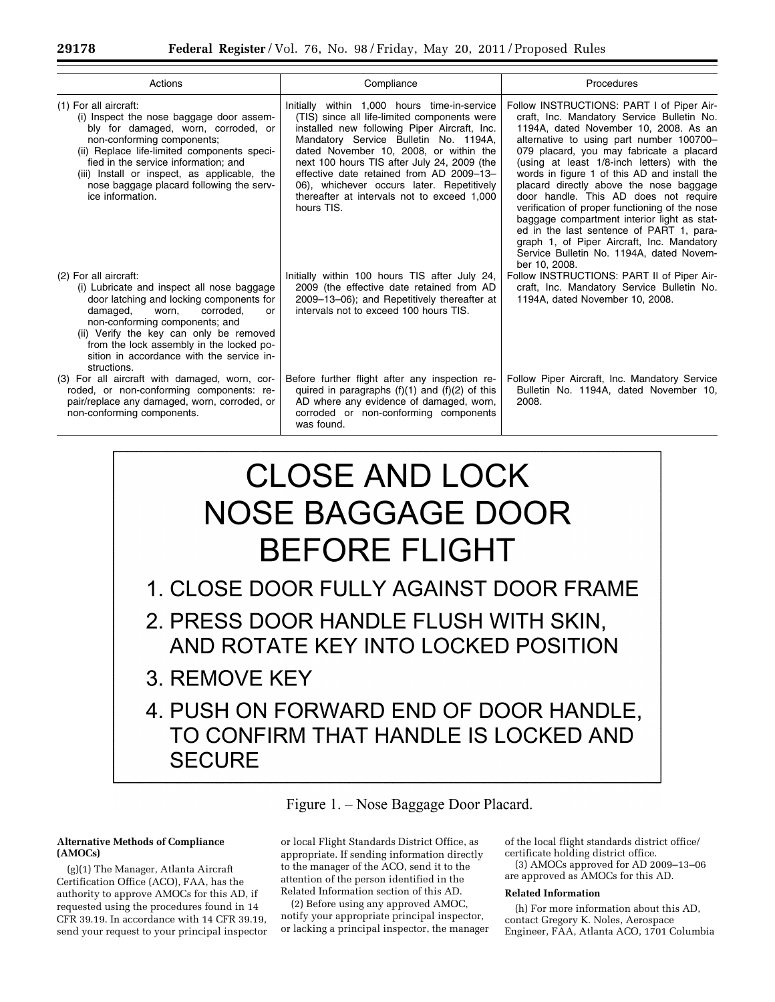| Actions                                                                                                                                                                                                                                                                                                                                       | Compliance                                                                                                                                                                                                                                                                                                                                                                                                                           | Procedures                                                                                                                                                                                                                                                                                                                                                                                                                                                                                                                                                                                                                                                         |  |
|-----------------------------------------------------------------------------------------------------------------------------------------------------------------------------------------------------------------------------------------------------------------------------------------------------------------------------------------------|--------------------------------------------------------------------------------------------------------------------------------------------------------------------------------------------------------------------------------------------------------------------------------------------------------------------------------------------------------------------------------------------------------------------------------------|--------------------------------------------------------------------------------------------------------------------------------------------------------------------------------------------------------------------------------------------------------------------------------------------------------------------------------------------------------------------------------------------------------------------------------------------------------------------------------------------------------------------------------------------------------------------------------------------------------------------------------------------------------------------|--|
| (1) For all aircraft:<br>(i) Inspect the nose baggage door assem-<br>bly for damaged, worn, corroded, or<br>non-conforming components;<br>(ii) Replace life-limited components speci-<br>fied in the service information: and<br>(iii) Install or inspect, as applicable, the<br>nose baggage placard following the serv-<br>ice information. | Initially within 1,000 hours time-in-service<br>(TIS) since all life-limited components were<br>installed new following Piper Aircraft, Inc.<br>Mandatory Service Bulletin No. 1194A,<br>dated November 10, 2008, or within the<br>next 100 hours TIS after July 24, 2009 (the<br>effective date retained from AD 2009-13-<br>06), whichever occurs later. Repetitively<br>thereafter at intervals not to exceed 1,000<br>hours TIS. | Follow INSTRUCTIONS: PART I of Piper Air-<br>craft, Inc. Mandatory Service Bulletin No.<br>1194A, dated November 10, 2008. As an<br>alternative to using part number 100700-<br>079 placard, you may fabricate a placard<br>(using at least 1/8-inch letters) with the<br>words in figure 1 of this AD and install the<br>placard directly above the nose baggage<br>door handle. This AD does not require<br>verification of proper functioning of the nose<br>baggage compartment interior light as stat-<br>ed in the last sentence of PART 1, para-<br>graph 1, of Piper Aircraft, Inc. Mandatory<br>Service Bulletin No. 1194A, dated Novem-<br>ber 10, 2008. |  |
| (2) For all aircraft:<br>(i) Lubricate and inspect all nose baggage<br>door latching and locking components for<br>damaged,<br>corroded.<br>worn.<br>or<br>non-conforming components; and<br>(ii) Verify the key can only be removed<br>from the lock assembly in the locked po-<br>sition in accordance with the service in-<br>structions.  | Initially within 100 hours TIS after July 24,<br>2009 (the effective date retained from AD<br>2009–13–06); and Repetitively thereafter at<br>intervals not to exceed 100 hours TIS.                                                                                                                                                                                                                                                  | Follow INSTRUCTIONS: PART II of Piper Air-<br>craft, Inc. Mandatory Service Bulletin No.<br>1194A, dated November 10, 2008.                                                                                                                                                                                                                                                                                                                                                                                                                                                                                                                                        |  |
| (3) For all aircraft with damaged, worn, cor-<br>roded, or non-conforming components: re-<br>pair/replace any damaged, worn, corroded, or<br>non-conforming components.                                                                                                                                                                       | Before further flight after any inspection re-<br>quired in paragraphs $(f)(1)$ and $(f)(2)$ of this<br>AD where any evidence of damaged, worn,<br>corroded or non-conforming components<br>was found.                                                                                                                                                                                                                               | Follow Piper Aircraft, Inc. Mandatory Service<br>Bulletin No. 1194A, dated November 10,<br>2008.                                                                                                                                                                                                                                                                                                                                                                                                                                                                                                                                                                   |  |

# **CLOSE AND LOCK NOSE BAGGAGE DOOR BEFORE FLIGHT**

1. CLOSE DOOR FULLY AGAINST DOOR FRAME

2. PRESS DOOR HANDLE FLUSH WITH SKIN, AND ROTATE KEY INTO LOCKED POSITION

- 3. REMOVE KEY
- 4. PUSH ON FORWARD END OF DOOR HANDLE. TO CONFIRM THAT HANDLE IS LOCKED AND **SECURE**

Figure 1. – Nose Baggage Door Placard.

# **Alternative Methods of Compliance (AMOCs)**

(g)(1) The Manager, Atlanta Aircraft Certification Office (ACO), FAA, has the authority to approve AMOCs for this AD, if requested using the procedures found in 14 CFR 39.19. In accordance with 14 CFR 39.19, send your request to your principal inspector

or local Flight Standards District Office, as appropriate. If sending information directly to the manager of the ACO, send it to the attention of the person identified in the Related Information section of this AD.

(2) Before using any approved AMOC, notify your appropriate principal inspector, or lacking a principal inspector, the manager of the local flight standards district office/ certificate holding district office.

(3) AMOCs approved for AD 2009–13–06 are approved as AMOCs for this AD.

# **Related Information**

(h) For more information about this AD, contact Gregory K. Noles, Aerospace Engineer, FAA, Atlanta ACO, 1701 Columbia